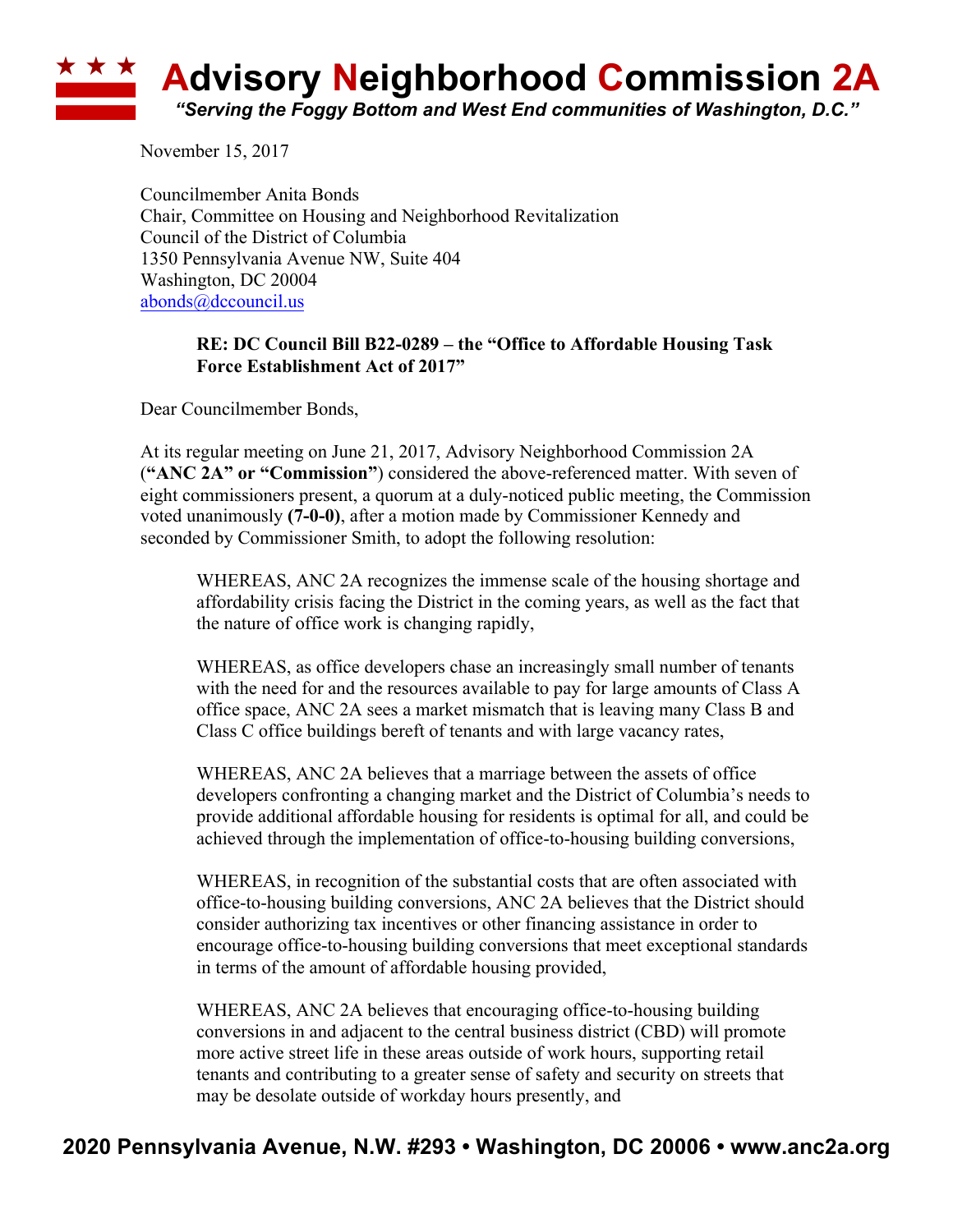## **<u><b>Advisory Neighborhood Commission 2A**</u> *"Serving the Foggy Bottom and West End communities of Washington, D.C."*

November 15, 2017

Councilmember Anita Bonds Chair, Committee on Housing and Neighborhood Revitalization Council of the District of Columbia 1350 Pennsylvania Avenue NW, Suite 404 Washington, DC 20004 abonds@dccouncil.us

## **RE: DC Council Bill B22-0289 – the "Office to Affordable Housing Task Force Establishment Act of 2017"**

Dear Councilmember Bonds,

At its regular meeting on June 21, 2017, Advisory Neighborhood Commission 2A (**"ANC 2A" or "Commission"**) considered the above-referenced matter. With seven of eight commissioners present, a quorum at a duly-noticed public meeting, the Commission voted unanimously **(7-0-0)**, after a motion made by Commissioner Kennedy and seconded by Commissioner Smith, to adopt the following resolution:

WHEREAS, ANC 2A recognizes the immense scale of the housing shortage and affordability crisis facing the District in the coming years, as well as the fact that the nature of office work is changing rapidly,

WHEREAS, as office developers chase an increasingly small number of tenants with the need for and the resources available to pay for large amounts of Class A office space, ANC 2A sees a market mismatch that is leaving many Class B and Class C office buildings bereft of tenants and with large vacancy rates,

WHEREAS, ANC 2A believes that a marriage between the assets of office developers confronting a changing market and the District of Columbia's needs to provide additional affordable housing for residents is optimal for all, and could be achieved through the implementation of office-to-housing building conversions,

WHEREAS, in recognition of the substantial costs that are often associated with office-to-housing building conversions, ANC 2A believes that the District should consider authorizing tax incentives or other financing assistance in order to encourage office-to-housing building conversions that meet exceptional standards in terms of the amount of affordable housing provided,

WHEREAS, ANC 2A believes that encouraging office-to-housing building conversions in and adjacent to the central business district (CBD) will promote more active street life in these areas outside of work hours, supporting retail tenants and contributing to a greater sense of safety and security on streets that may be desolate outside of workday hours presently, and